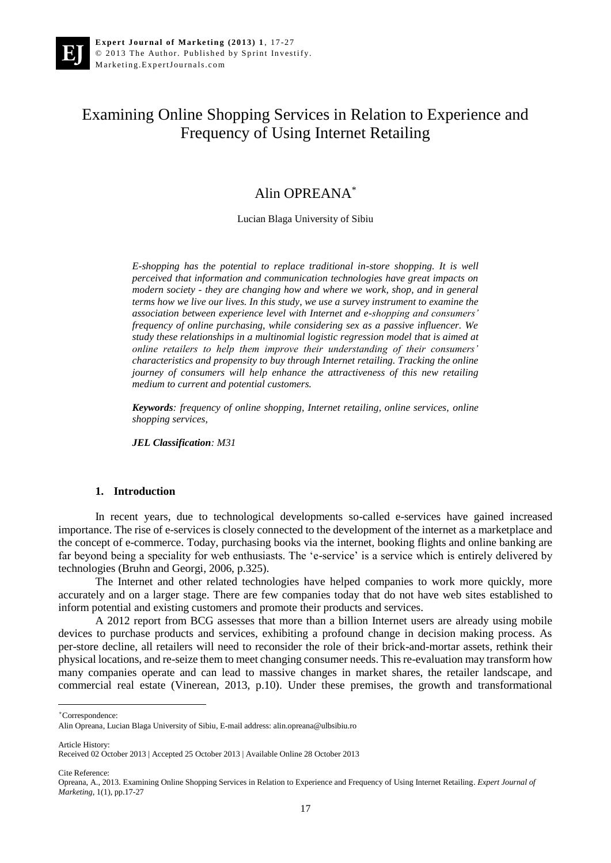# Examining Online Shopping Services in Relation to Experience and Frequency of Using Internet Retailing

# Alin OPREANA\*

Lucian Blaga University of Sibiu

*E-shopping has the potential to replace traditional in-store shopping. It is well perceived that information and communication technologies have great impacts on modern society - they are changing how and where we work, shop, and in general terms how we live our lives. In this study, we use a survey instrument to examine the association between experience level with Internet and e-shopping and consumers' frequency of online purchasing, while considering sex as a passive influencer. We study these relationships in a multinomial logistic regression model that is aimed at online retailers to help them improve their understanding of their consumers' characteristics and propensity to buy through Internet retailing. Tracking the online journey of consumers will help enhance the attractiveness of this new retailing medium to current and potential customers.*

*Keywords: frequency of online shopping, Internet retailing, online services, online shopping services,* 

*JEL Classification: M31*

#### **1. Introduction**

In recent years, due to technological developments so-called e-services have gained increased importance. The rise of e-services is closely connected to the development of the internet as a marketplace and the concept of e-commerce. Today, purchasing books via the internet, booking flights and online banking are far beyond being a speciality for web enthusiasts. The 'e-service' is a service which is entirely delivered by technologies (Bruhn and Georgi, 2006, p.325).

The Internet and other related technologies have helped companies to work more quickly, more accurately and on a larger stage. There are few companies today that do not have web sites established to inform potential and existing customers and promote their products and services.

A 2012 report from BCG assesses that more than a billion Internet users are already using mobile devices to purchase products and services, exhibiting a profound change in decision making process. As per-store decline, all retailers will need to reconsider the role of their brick-and-mortar assets, rethink their physical locations, and re-seize them to meet changing consumer needs. This re-evaluation may transform how many companies operate and can lead to massive changes in market shares, the retailer landscape, and commercial real estate (Vinerean, 2013, p.10). Under these premises, the growth and transformational

i<br>L

Article History:

Cite Reference:

<sup>\*</sup>Correspondence:

Alin Opreana, Lucian Blaga University of Sibiu, E-mail address: alin.opreana@ulbsibiu.ro

Received 02 October 2013 | Accepted 25 October 2013 | Available Online 28 October 2013

Opreana, A., 2013. Examining Online Shopping Services in Relation to Experience and Frequency of Using Internet Retailing. *Expert Journal of Marketing*, 1(1), pp.17-27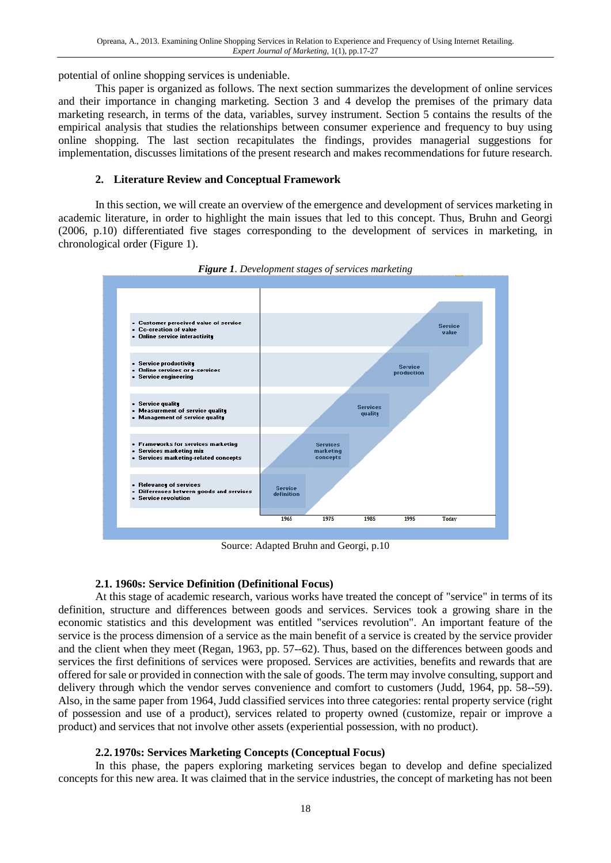potential of online shopping services is undeniable.

This paper is organized as follows. The next section summarizes the development of online services and their importance in changing marketing. Section 3 and 4 develop the premises of the primary data marketing research, in terms of the data, variables, survey instrument. Section 5 contains the results of the empirical analysis that studies the relationships between consumer experience and frequency to buy using online shopping. The last section recapitulates the findings, provides managerial suggestions for implementation, discusses limitations of the present research and makes recommendations for future research.

#### **2. Literature Review and Conceptual Framework**

In this section, we will create an overview of the emergence and development of services marketing in academic literature, in order to highlight the main issues that led to this concept. Thus, Bruhn and Georgi (2006, p.10) differentiated five stages corresponding to the development of services in marketing, in chronological order (Figure 1).



*Figure 1. Development stages of services marketing*

Source: Adapted Bruhn and Georgi, p.10

### **2.1. 1960s: Service Definition (Definitional Focus)**

At this stage of academic research, various works have treated the concept of "service" in terms of its definition, structure and differences between goods and services. Services took a growing share in the economic statistics and this development was entitled "services revolution". An important feature of the service is the process dimension of a service as the main benefit of a service is created by the service provider and the client when they meet (Regan, 1963, pp. 57--62). Thus, based on the differences between goods and services the first definitions of services were proposed. Services are activities, benefits and rewards that are offered for sale or provided in connection with the sale of goods. The term may involve consulting, support and delivery through which the vendor serves convenience and comfort to customers (Judd, 1964, pp. 58--59). Also, in the same paper from 1964, Judd classified services into three categories: rental property service (right of possession and use of a product), services related to property owned (customize, repair or improve a product) and services that not involve other assets (experiential possession, with no product).

### **2.2. 1970s: Services Marketing Concepts (Conceptual Focus)**

In this phase, the papers exploring marketing services began to develop and define specialized concepts for this new area. It was claimed that in the service industries, the concept of marketing has not been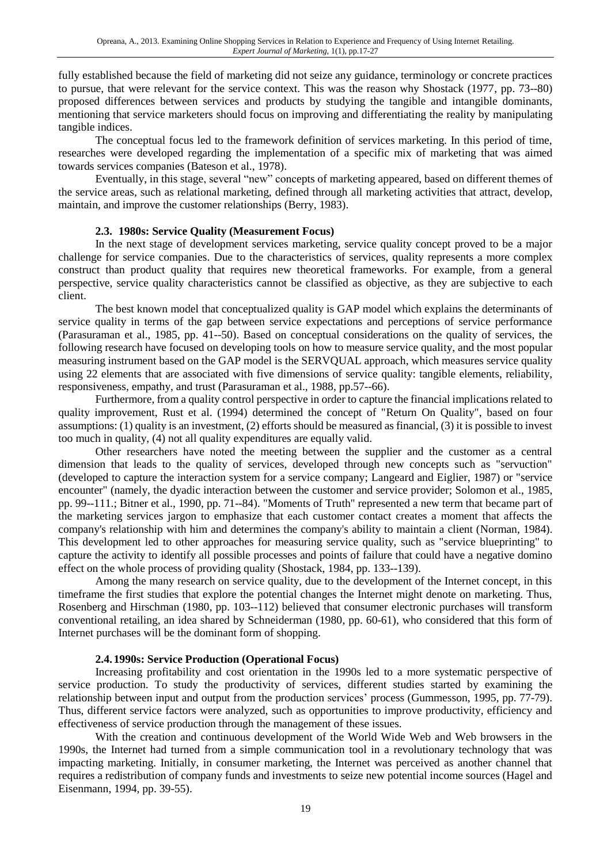fully established because the field of marketing did not seize any guidance, terminology or concrete practices to pursue, that were relevant for the service context. This was the reason why Shostack (1977, pp. 73--80) proposed differences between services and products by studying the tangible and intangible dominants, mentioning that service marketers should focus on improving and differentiating the reality by manipulating tangible indices.

The conceptual focus led to the framework definition of services marketing. In this period of time, researches were developed regarding the implementation of a specific mix of marketing that was aimed towards services companies (Bateson et al., 1978).

Eventually, in this stage, several "new" concepts of marketing appeared, based on different themes of the service areas, such as relational marketing, defined through all marketing activities that attract, develop, maintain, and improve the customer relationships (Berry, 1983).

### **2.3. 1980s: Service Quality (Measurement Focus)**

In the next stage of development services marketing, service quality concept proved to be a major challenge for service companies. Due to the characteristics of services, quality represents a more complex construct than product quality that requires new theoretical frameworks. For example, from a general perspective, service quality characteristics cannot be classified as objective, as they are subjective to each client.

The best known model that conceptualized quality is GAP model which explains the determinants of service quality in terms of the gap between service expectations and perceptions of service performance (Parasuraman et al., 1985, pp. 41--50). Based on conceptual considerations on the quality of services, the following research have focused on developing tools on how to measure service quality, and the most popular measuring instrument based on the GAP model is the SERVQUAL approach, which measures service quality using 22 elements that are associated with five dimensions of service quality: tangible elements, reliability, responsiveness, empathy, and trust (Parasuraman et al., 1988, pp.57--66).

Furthermore, from a quality control perspective in order to capture the financial implications related to quality improvement, Rust et al. (1994) determined the concept of "Return On Quality", based on four assumptions: (1) quality is an investment, (2) efforts should be measured as financial, (3) it is possible to invest too much in quality, (4) not all quality expenditures are equally valid.

Other researchers have noted the meeting between the supplier and the customer as a central dimension that leads to the quality of services, developed through new concepts such as "servuction" (developed to capture the interaction system for a service company; Langeard and Eiglier, 1987) or "service encounter" (namely, the dyadic interaction between the customer and service provider; Solomon et al., 1985, pp. 99--111.; Bitner et al., 1990, pp. 71--84). "Moments of Truth" represented a new term that became part of the marketing services jargon to emphasize that each customer contact creates a moment that affects the company's relationship with him and determines the company's ability to maintain a client (Norman, 1984). This development led to other approaches for measuring service quality, such as "service blueprinting" to capture the activity to identify all possible processes and points of failure that could have a negative domino effect on the whole process of providing quality (Shostack, 1984, pp. 133--139).

Among the many research on service quality, due to the development of the Internet concept, in this timeframe the first studies that explore the potential changes the Internet might denote on marketing. Thus, Rosenberg and Hirschman (1980, pp. 103--112) believed that consumer electronic purchases will transform conventional retailing, an idea shared by Schneiderman (1980, pp. 60-61), who considered that this form of Internet purchases will be the dominant form of shopping.

### **2.4. 1990s: Service Production (Operational Focus)**

Increasing profitability and cost orientation in the 1990s led to a more systematic perspective of service production. To study the productivity of services, different studies started by examining the relationship between input and output from the production services' process (Gummesson, 1995, pp. 77-79). Thus, different service factors were analyzed, such as opportunities to improve productivity, efficiency and effectiveness of service production through the management of these issues.

With the creation and continuous development of the World Wide Web and Web browsers in the 1990s, the Internet had turned from a simple communication tool in a revolutionary technology that was impacting marketing. Initially, in consumer marketing, the Internet was perceived as another channel that requires a redistribution of company funds and investments to seize new potential income sources (Hagel and Eisenmann, 1994, pp. 39-55).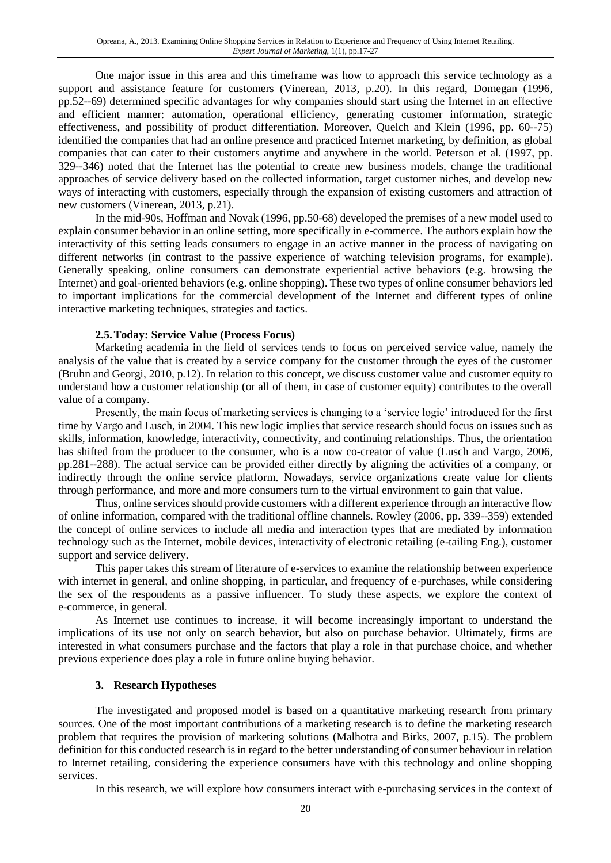One major issue in this area and this timeframe was how to approach this service technology as a support and assistance feature for customers (Vinerean, 2013, p.20). In this regard, Domegan (1996, pp.52--69) determined specific advantages for why companies should start using the Internet in an effective and efficient manner: automation, operational efficiency, generating customer information, strategic effectiveness, and possibility of product differentiation. Moreover, Quelch and Klein (1996, pp. 60--75) identified the companies that had an online presence and practiced Internet marketing, by definition, as global companies that can cater to their customers anytime and anywhere in the world. Peterson et al. (1997, pp. 329--346) noted that the Internet has the potential to create new business models, change the traditional approaches of service delivery based on the collected information, target customer niches, and develop new ways of interacting with customers, especially through the expansion of existing customers and attraction of new customers (Vinerean, 2013, p.21).

In the mid-90s, Hoffman and Novak (1996, pp.50-68) developed the premises of a new model used to explain consumer behavior in an online setting, more specifically in e-commerce. The authors explain how the interactivity of this setting leads consumers to engage in an active manner in the process of navigating on different networks (in contrast to the passive experience of watching television programs, for example). Generally speaking, online consumers can demonstrate experiential active behaviors (e.g. browsing the Internet) and goal-oriented behaviors (e.g. online shopping). These two types of online consumer behaviors led to important implications for the commercial development of the Internet and different types of online interactive marketing techniques, strategies and tactics.

### **2.5.Today: Service Value (Process Focus)**

Marketing academia in the field of services tends to focus on perceived service value, namely the analysis of the value that is created by a service company for the customer through the eyes of the customer (Bruhn and Georgi, 2010, p.12). In relation to this concept, we discuss customer value and customer equity to understand how a customer relationship (or all of them, in case of customer equity) contributes to the overall value of a company.

Presently, the main focus of marketing services is changing to a 'service logic' introduced for the first time by Vargo and Lusch, in 2004. This new logic implies that service research should focus on issues such as skills, information, knowledge, interactivity, connectivity, and continuing relationships. Thus, the orientation has shifted from the producer to the consumer, who is a now co-creator of value (Lusch and Vargo, 2006, pp.281--288). The actual service can be provided either directly by aligning the activities of a company, or indirectly through the online service platform. Nowadays, service organizations create value for clients through performance, and more and more consumers turn to the virtual environment to gain that value.

Thus, online services should provide customers with a different experience through an interactive flow of online information, compared with the traditional offline channels. Rowley (2006, pp. 339--359) extended the concept of online services to include all media and interaction types that are mediated by information technology such as the Internet, mobile devices, interactivity of electronic retailing (e-tailing Eng.), customer support and service delivery.

This paper takes this stream of literature of e-services to examine the relationship between experience with internet in general, and online shopping, in particular, and frequency of e-purchases, while considering the sex of the respondents as a passive influencer. To study these aspects, we explore the context of e-commerce, in general.

As Internet use continues to increase, it will become increasingly important to understand the implications of its use not only on search behavior, but also on purchase behavior. Ultimately, firms are interested in what consumers purchase and the factors that play a role in that purchase choice, and whether previous experience does play a role in future online buying behavior.

### **3. Research Hypotheses**

The investigated and proposed model is based on a quantitative marketing research from primary sources. One of the most important contributions of a marketing research is to define the marketing research problem that requires the provision of marketing solutions (Malhotra and Birks, 2007, p.15). The problem definition for this conducted research is in regard to the better understanding of consumer behaviour in relation to Internet retailing, considering the experience consumers have with this technology and online shopping services.

In this research, we will explore how consumers interact with e-purchasing services in the context of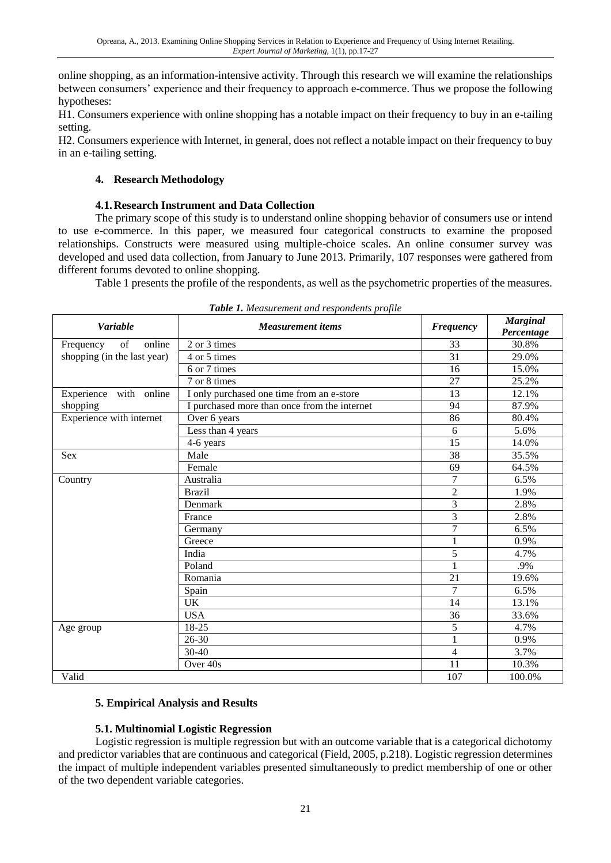online shopping, as an information-intensive activity. Through this research we will examine the relationships between consumers' experience and their frequency to approach e-commerce. Thus we propose the following hypotheses:

H1. Consumers experience with online shopping has a notable impact on their frequency to buy in an e-tailing setting.

H2. Consumers experience with Internet, in general, does not reflect a notable impact on their frequency to buy in an e-tailing setting.

# **4. Research Methodology**

# **4.1.Research Instrument and Data Collection**

The primary scope of this study is to understand online shopping behavior of consumers use or intend to use e-commerce. In this paper, we measured four categorical constructs to examine the proposed relationships. Constructs were measured using multiple-choice scales. An online consumer survey was developed and used data collection, from January to June 2013. Primarily, 107 responses were gathered from different forums devoted to online shopping.

Table 1 presents the profile of the respondents, as well as the psychometric properties of the measures.

| <b>Variable</b>             | <b>Measurement</b> items                     | <b>Frequency</b> | <b>Marginal</b><br>Percentage |  |
|-----------------------------|----------------------------------------------|------------------|-------------------------------|--|
| of<br>online<br>Frequency   | 2 or 3 times                                 | 33               | 30.8%                         |  |
| shopping (in the last year) | 4 or 5 times                                 | 31               | 29.0%                         |  |
|                             | 6 or 7 times                                 | 16               | 15.0%                         |  |
|                             | 7 or 8 times                                 | 27               | 25.2%                         |  |
| Experience with online      | I only purchased one time from an e-store    | 13               | 12.1%                         |  |
| shopping                    | I purchased more than once from the internet | 94               | 87.9%                         |  |
| Experience with internet    | Over 6 years                                 | 86               | 80.4%                         |  |
|                             | Less than 4 years                            | 6                | 5.6%                          |  |
|                             | 4-6 years                                    | 15               | 14.0%                         |  |
| Sex                         | Male                                         | 38               | 35.5%                         |  |
|                             | Female                                       | 69               | 64.5%                         |  |
| Country                     | Australia                                    | 7                | 6.5%                          |  |
|                             | <b>Brazil</b>                                | $\overline{2}$   | 1.9%                          |  |
|                             | Denmark                                      | 3                | 2.8%                          |  |
|                             | France                                       | 3                | 2.8%                          |  |
|                             | Germany                                      | $\overline{7}$   | 6.5%                          |  |
|                             | Greece                                       | 1                | 0.9%                          |  |
|                             | India                                        | 5                | 4.7%                          |  |
|                             | Poland                                       | 1                | .9%                           |  |
|                             | Romania                                      | 21               | 19.6%                         |  |
|                             | Spain                                        | $\overline{7}$   | 6.5%                          |  |
|                             | <b>UK</b>                                    | 14               | 13.1%                         |  |
|                             | <b>USA</b>                                   | 36               | 33.6%                         |  |
| Age group                   | 18-25                                        | 5                | 4.7%                          |  |
|                             | 26-30                                        | $\mathbf{1}$     | 0.9%                          |  |
|                             | 30-40                                        | $\overline{4}$   | 3.7%                          |  |
|                             | Over 40s                                     | 11               | 10.3%                         |  |
| Valid                       |                                              | 107              | 100.0%                        |  |

*Table 1. Measurement and respondents profile*

# **5. Empirical Analysis and Results**

# **5.1. Multinomial Logistic Regression**

Logistic regression is multiple regression but with an outcome variable that is a categorical dichotomy and predictor variables that are continuous and categorical (Field, 2005, p.218). Logistic regression determines the impact of multiple independent variables presented simultaneously to predict membership of one or other of the two dependent variable categories.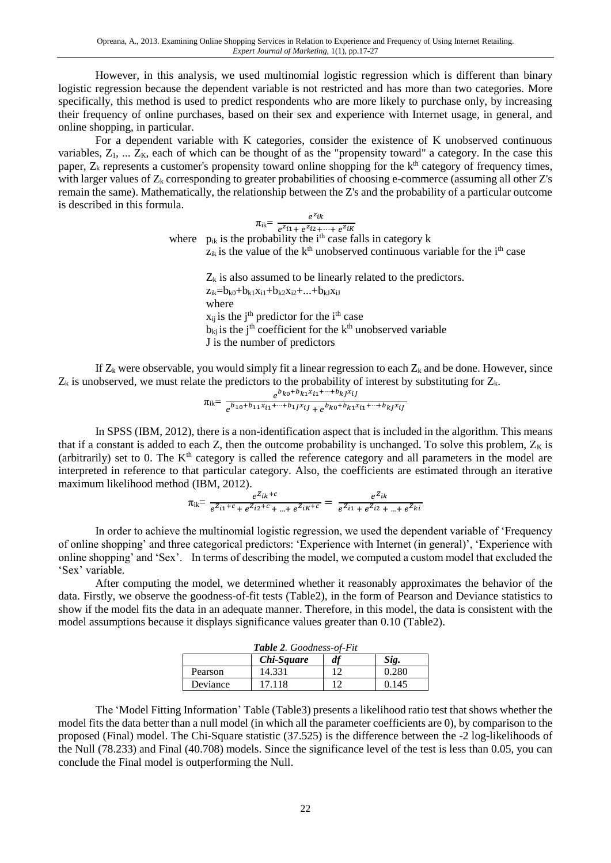However, in this analysis, we used multinomial logistic regression which is different than binary logistic regression because the dependent variable is not restricted and has more than two categories. More specifically, this method is used to predict respondents who are more likely to purchase only, by increasing their frequency of online purchases, based on their sex and experience with Internet usage, in general, and online shopping, in particular.

For a dependent variable with K categories, consider the existence of K unobserved continuous variables,  $Z_1$ , ...  $Z_K$ , each of which can be thought of as the "propensity toward" a category. In the case this paper,  $Z_k$  represents a customer's propensity toward online shopping for the  $k<sup>th</sup>$  category of frequency times, with larger values of  $Z_k$  corresponding to greater probabilities of choosing e-commerce (assuming all other  $Z$ 's remain the same). Mathematically, the relationship between the Z's and the probability of a particular outcome is described in this formula.

> $\pi_{ik} = \frac{e^{z_{ik}}}{e^{z_{ik}} + e^{z_{ik}}},$  $e^{z}i_1 + e^{z}i_2 + \cdots + e^{z}i_k$ where  $p_{ik}$  is the probability the i<sup>th</sup> case falls in category k

 $z_{ik}$  is the value of the  $k<sup>th</sup>$  unobserved continuous variable for the i<sup>th</sup> case

 $Z_k$  is also assumed to be linearly related to the predictors.  $z_{ik} = b_{k0} + b_{k1}x_{i1} + b_{k2}x_{i2} + ... + b_{k1}x_{iJ}$ where  $x_{ij}$  is the j<sup>th</sup> predictor for the i<sup>th</sup> case  $b_{ki}$  is the j<sup>th</sup> coefficient for the k<sup>th</sup> unobserved variable J is the number of predictors

If  $Z_k$  were observable, you would simply fit a linear regression to each  $Z_k$  and be done. However, since  $Z_k$  is unobserved, we must relate the predictors to the probability of interest by substituting for  $Z_k$ .

$$
\pi_{ik} = \frac{e^{b_{k0} + b_{k1}x_{i1} + \cdots + b_{kJ}x_{iJ}}}{e^{b_{10} + b_{11}x_{i1} + \cdots + b_{1J}x_{iJ} + e^{b_{k0} + b_{k1}x_{i1} + \cdots + b_{kJ}x_{iJ}}}
$$

In SPSS (IBM, 2012), there is a non-identification aspect that is included in the algorithm. This means that if a constant is added to each Z, then the outcome probability is unchanged. To solve this problem,  $Z_K$  is (arbitrarily) set to 0. The  $K<sup>th</sup>$  category is called the reference category and all parameters in the model are interpreted in reference to that particular category. Also, the coefficients are estimated through an iterative maximum likelihood method (IBM, 2012).

$$
\pi_{ik} = \frac{e^{Z_{ik}+c}}{e^{Z_{i1}+c} + e^{Z_{i2}+c} + \dots + e^{Z_{iK}+c}} = \frac{e^{Z_{ik}}}{e^{Z_{i1}} + e^{Z_{i2}} + \dots + e^{Z_{ki}}}
$$

In order to achieve the multinomial logistic regression, we used the dependent variable of 'Frequency of online shopping' and three categorical predictors: 'Experience with Internet (in general)', 'Experience with online shopping' and 'Sex'. In terms of describing the model, we computed a custom model that excluded the 'Sex' variable.

After computing the model, we determined whether it reasonably approximates the behavior of the data. Firstly, we observe the goodness-of-fit tests (Table2), in the form of Pearson and Deviance statistics to show if the model fits the data in an adequate manner. Therefore, in this model, the data is consistent with the model assumptions because it displays significance values greater than 0.10 (Table2).

| <b>Table 2.</b> Goodness-of-Fit |        |     |       |  |  |  |
|---------------------------------|--------|-----|-------|--|--|--|
| Chi-Square<br>df<br>Sig.        |        |     |       |  |  |  |
| Pearson                         | 14.331 | 1 ລ | 0.280 |  |  |  |
| Deviance                        | 17 118 |     | 0.145 |  |  |  |

The 'Model Fitting Information' Table (Table3) presents a likelihood ratio test that shows whether the model fits the data better than a null model (in which all the parameter coefficients are 0), by comparison to the proposed (Final) model. The Chi-Square statistic (37.525) is the difference between the -2 log-likelihoods of the Null (78.233) and Final (40.708) models. Since the significance level of the test is less than 0.05, you can conclude the Final model is outperforming the Null.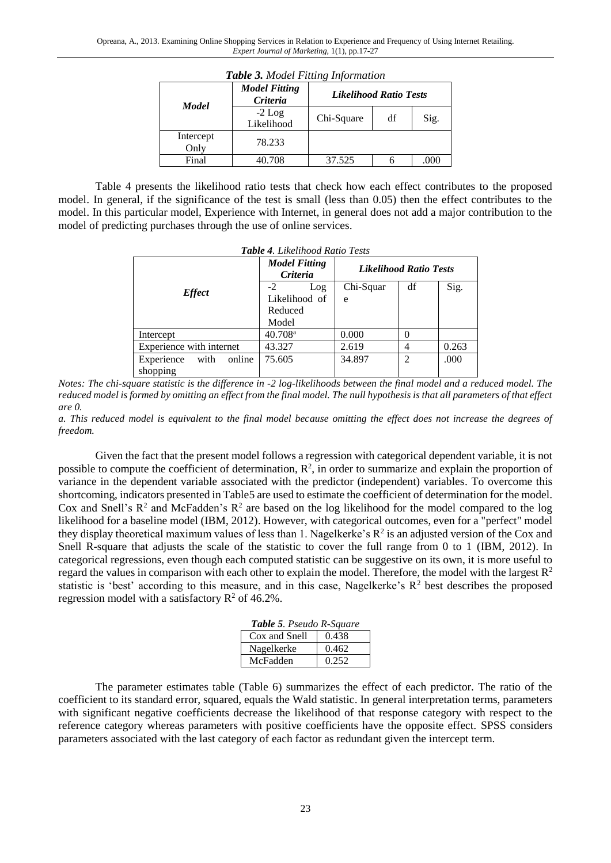|                   | <b>Model Fitting</b><br>Criteria | Likelihood Ratio Tests |    |      |  |  |
|-------------------|----------------------------------|------------------------|----|------|--|--|
| <b>Model</b>      | $-2$ Log<br>Likelihood           | Chi-Square             | df | Sig. |  |  |
| Intercept<br>Only | 78.233                           |                        |    |      |  |  |
| Final             | 40.708                           | 37.525                 |    | .000 |  |  |

*Table 3. Model Fitting Information*

Table 4 presents the likelihood ratio tests that check how each effect contributes to the proposed model. In general, if the significance of the test is small (less than 0.05) then the effect contributes to the model. In this particular model, Experience with Internet, in general does not add a major contribution to the model of predicting purchases through the use of online services.

|                              | <b>Model Fitting</b><br>Criteria | Likelihood Ratio Tests |                |       |  |
|------------------------------|----------------------------------|------------------------|----------------|-------|--|
|                              | $-2$<br>Log                      | Chi-Squar              | df             | Sig.  |  |
| <b>Effect</b>                | Likelihood of                    | e                      |                |       |  |
|                              | Reduced                          |                        |                |       |  |
|                              | Model                            |                        |                |       |  |
| Intercept                    | $40.708$ <sup>a</sup>            | 0.000                  |                |       |  |
| Experience with internet     | 43.327                           | 2.619                  | 4              | 0.263 |  |
| online<br>with<br>Experience | 75.605                           | 34.897                 | $\overline{c}$ | .000  |  |
| shopping                     |                                  |                        |                |       |  |

*Table 4. Likelihood Ratio Tests*

*Notes: The chi-square statistic is the difference in -2 log-likelihoods between the final model and a reduced model. The reduced model is formed by omitting an effect from the final model. The null hypothesis is that all parameters of that effect are 0.*

*a. This reduced model is equivalent to the final model because omitting the effect does not increase the degrees of freedom.*

Given the fact that the present model follows a regression with categorical dependent variable, it is not possible to compute the coefficient of determination,  $\mathbb{R}^2$ , in order to summarize and explain the proportion of variance in the dependent variable associated with the predictor (independent) variables. To overcome this shortcoming, indicators presented in Table5 are used to estimate the coefficient of determination for the model. Cox and Snell's  $\mathbb{R}^2$  and McFadden's  $\mathbb{R}^2$  are based on the log likelihood for the model compared to the log likelihood for a baseline model (IBM, 2012). However, with categorical outcomes, even for a "perfect" model they display theoretical maximum values of less than 1. Nagelkerke's  $R^2$  is an adjusted version of the Cox and Snell R-square that adjusts the scale of the statistic to cover the full range from 0 to 1 (IBM, 2012). In categorical regressions, even though each computed statistic can be suggestive on its own, it is more useful to regard the values in comparison with each other to explain the model. Therefore, the model with the largest  $\mathbb{R}^2$ statistic is 'best' according to this measure, and in this case, Nagelkerke's  $R<sup>2</sup>$  best describes the proposed regression model with a satisfactory  $R^2$  of 46.2%.

| <b>Table 5.</b> Pseudo R-Square |       |  |  |  |
|---------------------------------|-------|--|--|--|
| Cox and Snell                   | 0.438 |  |  |  |
| Nagelkerke                      | 0.462 |  |  |  |
| McFadden                        | 0.252 |  |  |  |

The parameter estimates table (Table 6) summarizes the effect of each predictor. The ratio of the coefficient to its standard error, squared, equals the Wald statistic. In general interpretation terms, parameters with significant negative coefficients decrease the likelihood of that response category with respect to the reference category whereas parameters with positive coefficients have the opposite effect. SPSS considers parameters associated with the last category of each factor as redundant given the intercept term.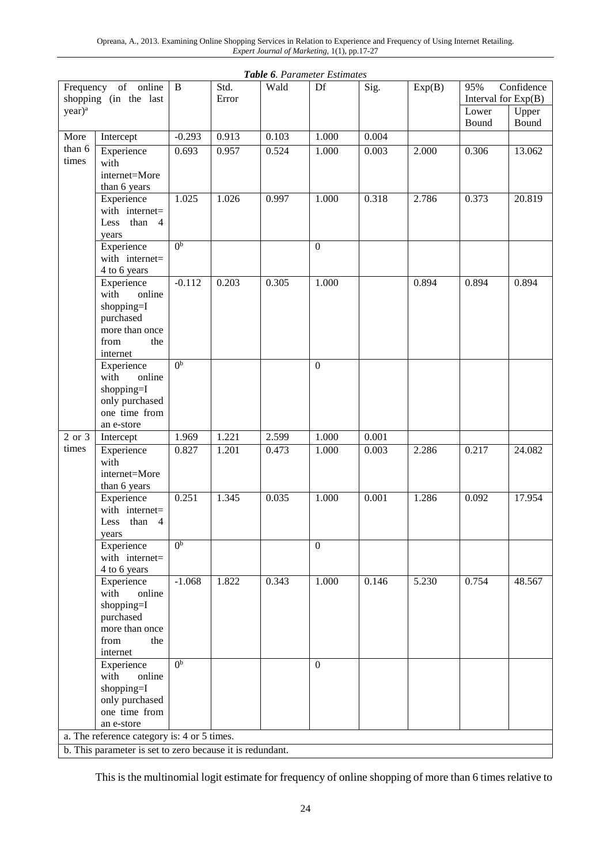| year) <sup>a</sup><br>Upper<br>Lower<br>Bound<br>Bound<br>$-0.293$<br>0.913<br>0.103<br>0.004<br>More<br>1.000<br>Intercept<br>than 6<br>Experience<br>0.524<br>0.003<br>0.693<br>0.957<br>1.000<br>2.000<br>0.306<br>13.062<br>times<br>with<br>internet=More<br>than 6 years<br>1.025<br>0.318<br>Experience<br>1.026<br>0.997<br>1.000<br>2.786<br>0.373<br>20.819<br>with internet=<br>than<br>Less<br>$\overline{4}$<br>years<br>0 <sub>p</sub><br>Experience<br>$\boldsymbol{0}$<br>with internet=<br>4 to 6 years<br>$-0.112$<br>0.203<br>0.305<br>1.000<br>0.894<br>0.894<br>0.894<br>Experience<br>with<br>online<br>shopping=I<br>purchased<br>more than once<br>from<br>the<br>internet<br>0 <sub>p</sub><br>$\mathbf{0}$<br>Experience<br>with<br>online<br>shopping=I<br>only purchased<br>one time from<br>an e-store<br>2 or 3<br>1.221<br>2.599<br>1.000<br>0.001<br>Intercept<br>1.969<br>times<br>0.473<br>0.003<br>Experience<br>0.827<br>1.201<br>1.000<br>2.286<br>0.217<br>24.082<br>with<br>internet=More<br>than 6 years<br>0.251<br>0.035<br>1.000<br>Experience<br>1.345<br>0.001<br>1.286<br>0.092<br>17.954<br>with internet=<br>than<br>Less<br>4<br>years<br>0 <sup>b</sup><br>Experience<br>$\mathbf{0}$<br>with internet=<br>4 to 6 years<br>Experience<br>$-1.068$<br>1.822<br>0.343<br>1.000<br>0.146<br>5.230<br>0.754<br>48.567<br>with<br>online<br>shopping=I<br>purchased<br>more than once<br>from<br>the<br>internet<br>0 <sup>b</sup><br>Experience<br>$\overline{0}$<br>with<br>online<br>shopping=I<br>only purchased<br>one time from<br>an e-store<br>a. The reference category is: 4 or 5 times.<br>b. This parameter is set to zero because it is redundant. | Frequency of online<br>shopping (in the last |  | $\bf{B}$ | Std.<br>Error | Wald | Df | Sig. | Exp(B) | Confidence<br>95%<br>Interval for $Exp(B)$ |  |
|--------------------------------------------------------------------------------------------------------------------------------------------------------------------------------------------------------------------------------------------------------------------------------------------------------------------------------------------------------------------------------------------------------------------------------------------------------------------------------------------------------------------------------------------------------------------------------------------------------------------------------------------------------------------------------------------------------------------------------------------------------------------------------------------------------------------------------------------------------------------------------------------------------------------------------------------------------------------------------------------------------------------------------------------------------------------------------------------------------------------------------------------------------------------------------------------------------------------------------------------------------------------------------------------------------------------------------------------------------------------------------------------------------------------------------------------------------------------------------------------------------------------------------------------------------------------------------------------------------------------------------------------------------------------------------------------------------------|----------------------------------------------|--|----------|---------------|------|----|------|--------|--------------------------------------------|--|
|                                                                                                                                                                                                                                                                                                                                                                                                                                                                                                                                                                                                                                                                                                                                                                                                                                                                                                                                                                                                                                                                                                                                                                                                                                                                                                                                                                                                                                                                                                                                                                                                                                                                                                              |                                              |  |          |               |      |    |      |        |                                            |  |
|                                                                                                                                                                                                                                                                                                                                                                                                                                                                                                                                                                                                                                                                                                                                                                                                                                                                                                                                                                                                                                                                                                                                                                                                                                                                                                                                                                                                                                                                                                                                                                                                                                                                                                              |                                              |  |          |               |      |    |      |        |                                            |  |
|                                                                                                                                                                                                                                                                                                                                                                                                                                                                                                                                                                                                                                                                                                                                                                                                                                                                                                                                                                                                                                                                                                                                                                                                                                                                                                                                                                                                                                                                                                                                                                                                                                                                                                              |                                              |  |          |               |      |    |      |        |                                            |  |
|                                                                                                                                                                                                                                                                                                                                                                                                                                                                                                                                                                                                                                                                                                                                                                                                                                                                                                                                                                                                                                                                                                                                                                                                                                                                                                                                                                                                                                                                                                                                                                                                                                                                                                              |                                              |  |          |               |      |    |      |        |                                            |  |
|                                                                                                                                                                                                                                                                                                                                                                                                                                                                                                                                                                                                                                                                                                                                                                                                                                                                                                                                                                                                                                                                                                                                                                                                                                                                                                                                                                                                                                                                                                                                                                                                                                                                                                              |                                              |  |          |               |      |    |      |        |                                            |  |
|                                                                                                                                                                                                                                                                                                                                                                                                                                                                                                                                                                                                                                                                                                                                                                                                                                                                                                                                                                                                                                                                                                                                                                                                                                                                                                                                                                                                                                                                                                                                                                                                                                                                                                              |                                              |  |          |               |      |    |      |        |                                            |  |
|                                                                                                                                                                                                                                                                                                                                                                                                                                                                                                                                                                                                                                                                                                                                                                                                                                                                                                                                                                                                                                                                                                                                                                                                                                                                                                                                                                                                                                                                                                                                                                                                                                                                                                              |                                              |  |          |               |      |    |      |        |                                            |  |
|                                                                                                                                                                                                                                                                                                                                                                                                                                                                                                                                                                                                                                                                                                                                                                                                                                                                                                                                                                                                                                                                                                                                                                                                                                                                                                                                                                                                                                                                                                                                                                                                                                                                                                              |                                              |  |          |               |      |    |      |        |                                            |  |
|                                                                                                                                                                                                                                                                                                                                                                                                                                                                                                                                                                                                                                                                                                                                                                                                                                                                                                                                                                                                                                                                                                                                                                                                                                                                                                                                                                                                                                                                                                                                                                                                                                                                                                              |                                              |  |          |               |      |    |      |        |                                            |  |
|                                                                                                                                                                                                                                                                                                                                                                                                                                                                                                                                                                                                                                                                                                                                                                                                                                                                                                                                                                                                                                                                                                                                                                                                                                                                                                                                                                                                                                                                                                                                                                                                                                                                                                              |                                              |  |          |               |      |    |      |        |                                            |  |
|                                                                                                                                                                                                                                                                                                                                                                                                                                                                                                                                                                                                                                                                                                                                                                                                                                                                                                                                                                                                                                                                                                                                                                                                                                                                                                                                                                                                                                                                                                                                                                                                                                                                                                              |                                              |  |          |               |      |    |      |        |                                            |  |
|                                                                                                                                                                                                                                                                                                                                                                                                                                                                                                                                                                                                                                                                                                                                                                                                                                                                                                                                                                                                                                                                                                                                                                                                                                                                                                                                                                                                                                                                                                                                                                                                                                                                                                              |                                              |  |          |               |      |    |      |        |                                            |  |
|                                                                                                                                                                                                                                                                                                                                                                                                                                                                                                                                                                                                                                                                                                                                                                                                                                                                                                                                                                                                                                                                                                                                                                                                                                                                                                                                                                                                                                                                                                                                                                                                                                                                                                              |                                              |  |          |               |      |    |      |        |                                            |  |
|                                                                                                                                                                                                                                                                                                                                                                                                                                                                                                                                                                                                                                                                                                                                                                                                                                                                                                                                                                                                                                                                                                                                                                                                                                                                                                                                                                                                                                                                                                                                                                                                                                                                                                              |                                              |  |          |               |      |    |      |        |                                            |  |
|                                                                                                                                                                                                                                                                                                                                                                                                                                                                                                                                                                                                                                                                                                                                                                                                                                                                                                                                                                                                                                                                                                                                                                                                                                                                                                                                                                                                                                                                                                                                                                                                                                                                                                              |                                              |  |          |               |      |    |      |        |                                            |  |
|                                                                                                                                                                                                                                                                                                                                                                                                                                                                                                                                                                                                                                                                                                                                                                                                                                                                                                                                                                                                                                                                                                                                                                                                                                                                                                                                                                                                                                                                                                                                                                                                                                                                                                              |                                              |  |          |               |      |    |      |        |                                            |  |

*Table 6. Parameter Estimates*

This is the multinomial logit estimate for frequency of online shopping of more than 6 times relative to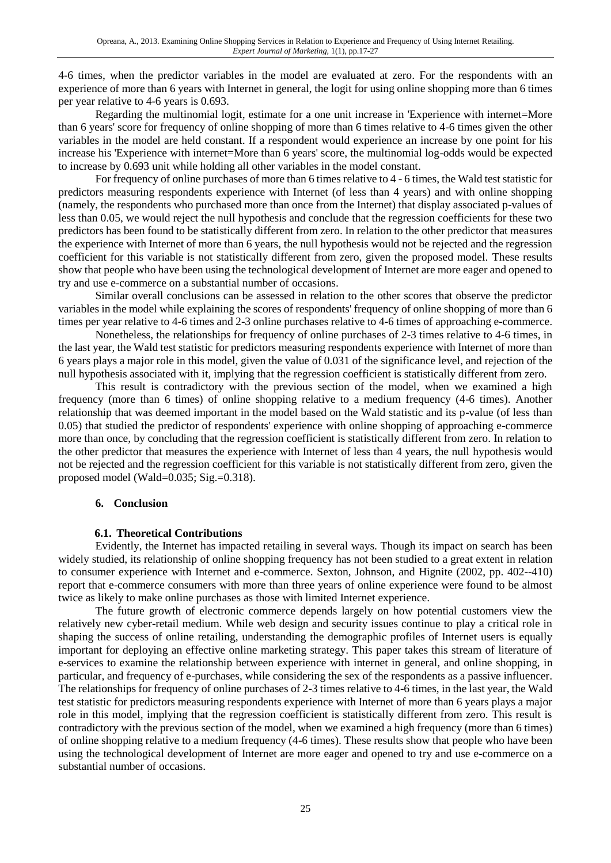4-6 times, when the predictor variables in the model are evaluated at zero. For the respondents with an experience of more than 6 years with Internet in general, the logit for using online shopping more than 6 times per year relative to 4-6 years is 0.693.

Regarding the multinomial logit, estimate for a one unit increase in 'Experience with internet=More than 6 years' score for frequency of online shopping of more than 6 times relative to 4-6 times given the other variables in the model are held constant. If a respondent would experience an increase by one point for his increase his 'Experience with internet=More than 6 years' score, the multinomial log-odds would be expected to increase by 0.693 unit while holding all other variables in the model constant.

For frequency of online purchases of more than 6 times relative to 4 - 6 times, the Wald test statistic for predictors measuring respondents experience with Internet (of less than 4 years) and with online shopping (namely, the respondents who purchased more than once from the Internet) that display associated p-values of less than 0.05, we would reject the null hypothesis and conclude that the regression coefficients for these two predictors has been found to be statistically different from zero. In relation to the other predictor that measures the experience with Internet of more than 6 years, the null hypothesis would not be rejected and the regression coefficient for this variable is not statistically different from zero, given the proposed model. These results show that people who have been using the technological development of Internet are more eager and opened to try and use e-commerce on a substantial number of occasions.

Similar overall conclusions can be assessed in relation to the other scores that observe the predictor variables in the model while explaining the scores of respondents' frequency of online shopping of more than 6 times per year relative to 4-6 times and 2-3 online purchases relative to 4-6 times of approaching e-commerce.

Nonetheless, the relationships for frequency of online purchases of 2-3 times relative to 4-6 times, in the last year, the Wald test statistic for predictors measuring respondents experience with Internet of more than 6 years plays a major role in this model, given the value of 0.031 of the significance level, and rejection of the null hypothesis associated with it, implying that the regression coefficient is statistically different from zero.

This result is contradictory with the previous section of the model, when we examined a high frequency (more than 6 times) of online shopping relative to a medium frequency (4-6 times). Another relationship that was deemed important in the model based on the Wald statistic and its p-value (of less than 0.05) that studied the predictor of respondents' experience with online shopping of approaching e-commerce more than once, by concluding that the regression coefficient is statistically different from zero. In relation to the other predictor that measures the experience with Internet of less than 4 years, the null hypothesis would not be rejected and the regression coefficient for this variable is not statistically different from zero, given the proposed model (Wald=0.035; Sig.=0.318).

### **6. Conclusion**

# **6.1. Theoretical Contributions**

Evidently, the Internet has impacted retailing in several ways. Though its impact on search has been widely studied, its relationship of online shopping frequency has not been studied to a great extent in relation to consumer experience with Internet and e-commerce. Sexton, Johnson, and Hignite (2002, pp. 402--410) report that e-commerce consumers with more than three years of online experience were found to be almost twice as likely to make online purchases as those with limited Internet experience.

The future growth of electronic commerce depends largely on how potential customers view the relatively new cyber-retail medium. While web design and security issues continue to play a critical role in shaping the success of online retailing, understanding the demographic profiles of Internet users is equally important for deploying an effective online marketing strategy. This paper takes this stream of literature of e-services to examine the relationship between experience with internet in general, and online shopping, in particular, and frequency of e-purchases, while considering the sex of the respondents as a passive influencer. The relationships for frequency of online purchases of 2-3 times relative to 4-6 times, in the last year, the Wald test statistic for predictors measuring respondents experience with Internet of more than 6 years plays a major role in this model, implying that the regression coefficient is statistically different from zero. This result is contradictory with the previous section of the model, when we examined a high frequency (more than 6 times) of online shopping relative to a medium frequency (4-6 times). These results show that people who have been using the technological development of Internet are more eager and opened to try and use e-commerce on a substantial number of occasions.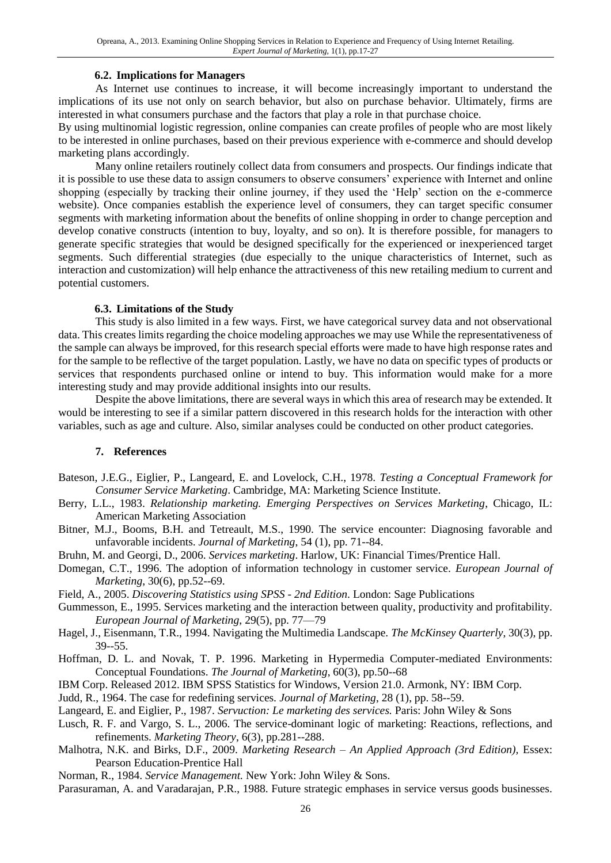### **6.2. Implications for Managers**

As Internet use continues to increase, it will become increasingly important to understand the implications of its use not only on search behavior, but also on purchase behavior. Ultimately, firms are interested in what consumers purchase and the factors that play a role in that purchase choice.

By using multinomial logistic regression, online companies can create profiles of people who are most likely to be interested in online purchases, based on their previous experience with e-commerce and should develop marketing plans accordingly.

Many online retailers routinely collect data from consumers and prospects. Our findings indicate that it is possible to use these data to assign consumers to observe consumers' experience with Internet and online shopping (especially by tracking their online journey, if they used the 'Help' section on the e-commerce website). Once companies establish the experience level of consumers, they can target specific consumer segments with marketing information about the benefits of online shopping in order to change perception and develop conative constructs (intention to buy, loyalty, and so on). It is therefore possible, for managers to generate specific strategies that would be designed specifically for the experienced or inexperienced target segments. Such differential strategies (due especially to the unique characteristics of Internet, such as interaction and customization) will help enhance the attractiveness of this new retailing medium to current and potential customers.

### **6.3. Limitations of the Study**

This study is also limited in a few ways. First, we have categorical survey data and not observational data. This creates limits regarding the choice modeling approaches we may use While the representativeness of the sample can always be improved, for this research special efforts were made to have high response rates and for the sample to be reflective of the target population. Lastly, we have no data on specific types of products or services that respondents purchased online or intend to buy. This information would make for a more interesting study and may provide additional insights into our results.

Despite the above limitations, there are several ways in which this area of research may be extended. It would be interesting to see if a similar pattern discovered in this research holds for the interaction with other variables, such as age and culture. Also, similar analyses could be conducted on other product categories.

# **7. References**

- Bateson, J.E.G., Eiglier, P., Langeard, E. and Lovelock, C.H., 1978. *Testing a Conceptual Framework for Consumer Service Marketing*. Cambridge, MA: Marketing Science Institute.
- Berry, L.L., 1983. *Relationship marketing. Emerging Perspectives on Services Marketing*, Chicago, IL: American Marketing Association
- Bitner, M.J., Booms, B.H. and Tetreault, M.S., 1990. The service encounter: Diagnosing favorable and unfavorable incidents. *Journal of Marketing*, 54 (1), pp. 71--84.
- Bruhn, M. and Georgi, D., 2006. *Services marketing*. Harlow, UK: Financial Times/Prentice Hall.
- Domegan, C.T., 1996. The adoption of information technology in customer service. *European Journal of Marketing*, 30(6), pp.52--69.
- Field, A., 2005. *Discovering Statistics using SPSS - 2nd Edition*. London: Sage Publications
- Gummesson, E., 1995. Services marketing and the interaction between quality, productivity and profitability. *European Journal of Marketing*, 29(5), pp. 77—79
- Hagel, J., Eisenmann, T.R., 1994. Navigating the Multimedia Landscape. *The McKinsey Quarterly*, 30(3), pp. 39--55.
- Hoffman, D. L. and Novak, T. P. 1996. Marketing in Hypermedia Computer-mediated Environments: Conceptual Foundations. *The Journal of Marketing*, 60(3), pp.50--68
- IBM Corp. Released 2012. IBM SPSS Statistics for Windows, Version 21.0. Armonk, NY: IBM Corp.
- Judd, R., 1964. The case for redefining services. *Journal of Marketing*, 28 (1), pp. 58--59.
- Langeard, E. and Eiglier, P., 1987. *Servuction: Le marketing des services.* Paris: John Wiley & Sons
- Lusch, R. F. and Vargo, S. L., 2006. The service-dominant logic of marketing: Reactions, reflections, and refinements. *Marketing Theory*, 6(3), pp.281--288.
- Malhotra, N.K. and Birks, D.F., 2009. *Marketing Research – An Applied Approach (3rd Edition),* Essex: Pearson Education-Prentice Hall
- Norman, R., 1984. *Service Management.* New York: John Wiley & Sons.
- Parasuraman, A. and Varadarajan, P.R., 1988. Future strategic emphases in service versus goods businesses.